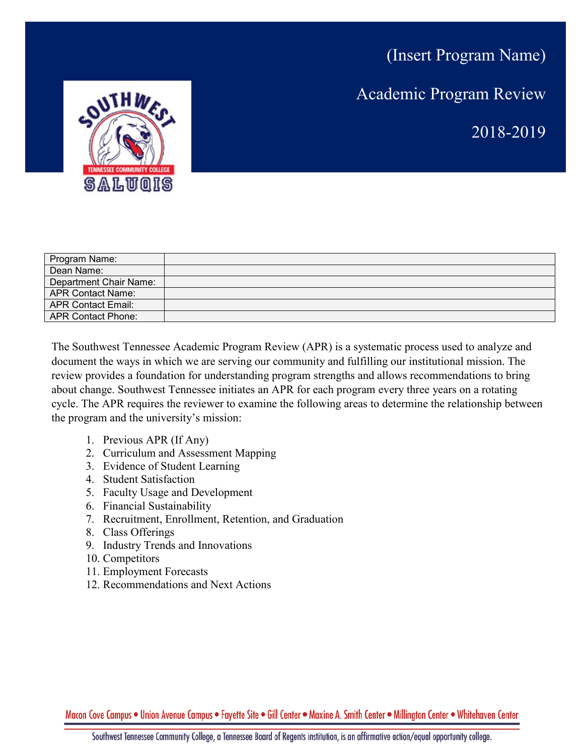A. T. TT O T

(Insert Program Name) Academic Program Review 2018-2019

| Program Name:             |  |
|---------------------------|--|
| Dean Name:                |  |
| Department Chair Name:    |  |
| APR Contact Name:         |  |
| <b>APR Contact Email:</b> |  |
| APR Contact Phone:        |  |
|                           |  |

The Southwest Tennessee Academic Program Review (APR) is a systematic process used to analyze and document the ways in which we are serving our community and fulfilling our institutional mission. The review provides a foundation for understanding program strengths and allows recommendations to bring about change. Southwest Tennessee initiates an APR for each program every three years on a rotating cycle. The APR requires the reviewer to examine the following areas to determine the relationship between the program and the university's mission:

- 1. Previous APR (If Any)
- 2. Curriculum and Assessment Mapping
- 3. Evidence of Student Learning
- 4. Student Satisfaction
- 5. Faculty Usage and Development
- 6. Financial Sustainability
- 7. Recruitment, Enrollment, Retention, and Graduation
- 8. Class Offerings
- 9. Industry Trends and Innovations
- 10. Competitors
- 11. Employment Forecasts
- 12. Recommendations and Next Actions

Macon Cove Campus . Union Avenue Campus . Fayette Site . Gill Center . Maxine A. Smith Center . Millington Center . Whitehaven Center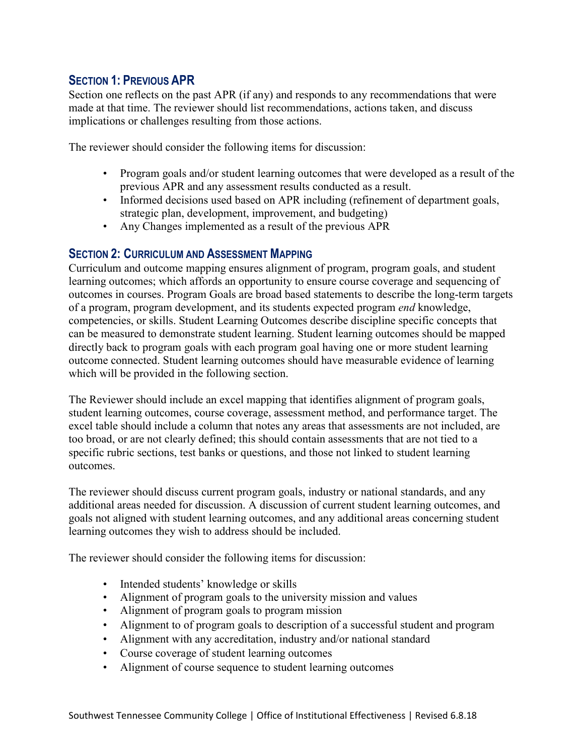## **SECTION 1: PREVIOUS APR**

Section one reflects on the past APR (if any) and responds to any recommendations that were made at that time. The reviewer should list recommendations, actions taken, and discuss implications or challenges resulting from those actions.

The reviewer should consider the following items for discussion:

- Program goals and/or student learning outcomes that were developed as a result of the previous APR and any assessment results conducted as a result.
- Informed decisions used based on APR including (refinement of department goals, strategic plan, development, improvement, and budgeting)
- Any Changes implemented as a result of the previous APR

### **SECTION 2: CURRICULUM AND ASSESSMENT MAPPING**

Curriculum and outcome mapping ensures alignment of program, program goals, and student learning outcomes; which affords an opportunity to ensure course coverage and sequencing of outcomes in courses. Program Goals are broad based statements to describe the long-term targets of a program, program development, and its students expected program *end* knowledge, competencies, or skills. Student Learning Outcomes describe discipline specific concepts that can be measured to demonstrate student learning. Student learning outcomes should be mapped directly back to program goals with each program goal having one or more student learning outcome connected. Student learning outcomes should have measurable evidence of learning which will be provided in the following section.

The Reviewer should include an excel mapping that identifies alignment of program goals, student learning outcomes, course coverage, assessment method, and performance target. The excel table should include a column that notes any areas that assessments are not included, are too broad, or are not clearly defined; this should contain assessments that are not tied to a specific rubric sections, test banks or questions, and those not linked to student learning outcomes.

The reviewer should discuss current program goals, industry or national standards, and any additional areas needed for discussion. A discussion of current student learning outcomes, and goals not aligned with student learning outcomes, and any additional areas concerning student learning outcomes they wish to address should be included.

The reviewer should consider the following items for discussion:

- Intended students' knowledge or skills
- Alignment of program goals to the university mission and values
- Alignment of program goals to program mission
- Alignment to of program goals to description of a successful student and program
- Alignment with any accreditation, industry and/or national standard
- Course coverage of student learning outcomes
- Alignment of course sequence to student learning outcomes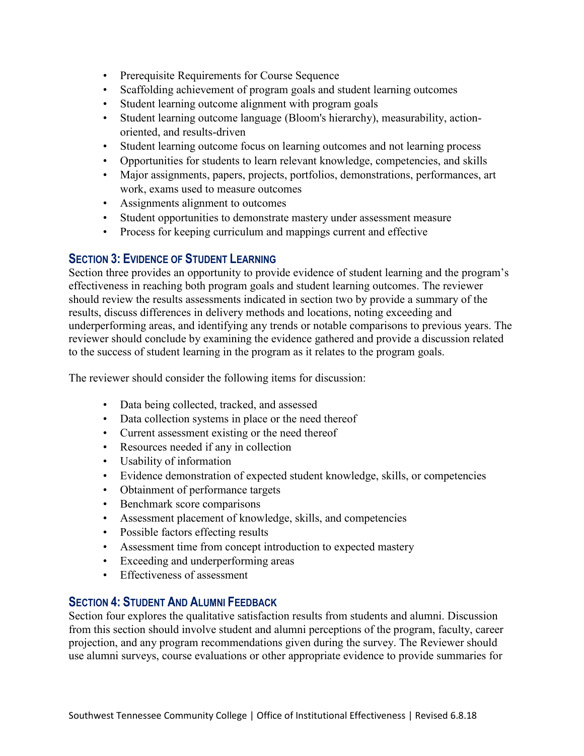- Prerequisite Requirements for Course Sequence
- Scaffolding achievement of program goals and student learning outcomes
- Student learning outcome alignment with program goals
- Student learning outcome language (Bloom's hierarchy), measurability, actionoriented, and results-driven
- Student learning outcome focus on learning outcomes and not learning process
- Opportunities for students to learn relevant knowledge, competencies, and skills
- Major assignments, papers, projects, portfolios, demonstrations, performances, art work, exams used to measure outcomes
- Assignments alignment to outcomes
- Student opportunities to demonstrate mastery under assessment measure
- Process for keeping curriculum and mappings current and effective

### **SECTION 3: EVIDENCE OF STUDENT LEARNING**

Section three provides an opportunity to provide evidence of student learning and the program's effectiveness in reaching both program goals and student learning outcomes. The reviewer should review the results assessments indicated in section two by provide a summary of the results, discuss differences in delivery methods and locations, noting exceeding and underperforming areas, and identifying any trends or notable comparisons to previous years. The reviewer should conclude by examining the evidence gathered and provide a discussion related to the success of student learning in the program as it relates to the program goals.

The reviewer should consider the following items for discussion:

- Data being collected, tracked, and assessed
- Data collection systems in place or the need thereof
- Current assessment existing or the need thereof
- Resources needed if any in collection
- Usability of information
- Evidence demonstration of expected student knowledge, skills, or competencies
- Obtainment of performance targets
- Benchmark score comparisons
- Assessment placement of knowledge, skills, and competencies
- Possible factors effecting results
- Assessment time from concept introduction to expected mastery
- Exceeding and underperforming areas
- Effectiveness of assessment

## **SECTION 4: STUDENT AND ALUMNI FEEDBACK**

Section four explores the qualitative satisfaction results from students and alumni. Discussion from this section should involve student and alumni perceptions of the program, faculty, career projection, and any program recommendations given during the survey. The Reviewer should use alumni surveys, course evaluations or other appropriate evidence to provide summaries for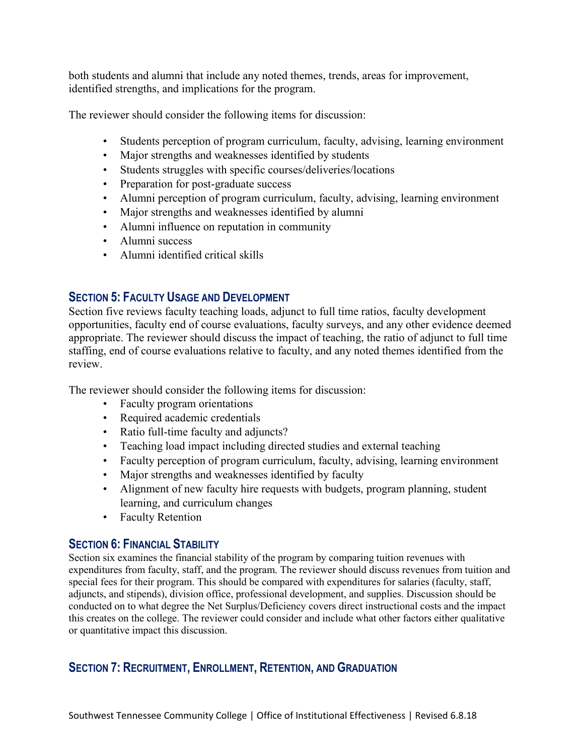both students and alumni that include any noted themes, trends, areas for improvement, identified strengths, and implications for the program.

The reviewer should consider the following items for discussion:

- Students perception of program curriculum, faculty, advising, learning environment
- Major strengths and weaknesses identified by students
- Students struggles with specific courses/deliveries/locations
- Preparation for post-graduate success
- Alumni perception of program curriculum, faculty, advising, learning environment
- Major strengths and weaknesses identified by alumni
- Alumni influence on reputation in community
- Alumni success
- Alumni identified critical skills

## **SECTION 5: FACULTY USAGE AND DEVELOPMENT**

Section five reviews faculty teaching loads, adjunct to full time ratios, faculty development opportunities, faculty end of course evaluations, faculty surveys, and any other evidence deemed appropriate. The reviewer should discuss the impact of teaching, the ratio of adjunct to full time staffing, end of course evaluations relative to faculty, and any noted themes identified from the review.

The reviewer should consider the following items for discussion:

- Faculty program orientations
- Required academic credentials
- Ratio full-time faculty and adjuncts?
- Teaching load impact including directed studies and external teaching
- Faculty perception of program curriculum, faculty, advising, learning environment
- Major strengths and weaknesses identified by faculty
- Alignment of new faculty hire requests with budgets, program planning, student learning, and curriculum changes
- Faculty Retention

# **SECTION 6: FINANCIAL STABILITY**

Section six examines the financial stability of the program by comparing tuition revenues with expenditures from faculty, staff, and the program. The reviewer should discuss revenues from tuition and special fees for their program. This should be compared with expenditures for salaries (faculty, staff, adjuncts, and stipends), division office, professional development, and supplies. Discussion should be conducted on to what degree the Net Surplus/Deficiency covers direct instructional costs and the impact this creates on the college. The reviewer could consider and include what other factors either qualitative or quantitative impact this discussion.

# **SECTION 7: RECRUITMENT, ENROLLMENT, RETENTION, AND GRADUATION**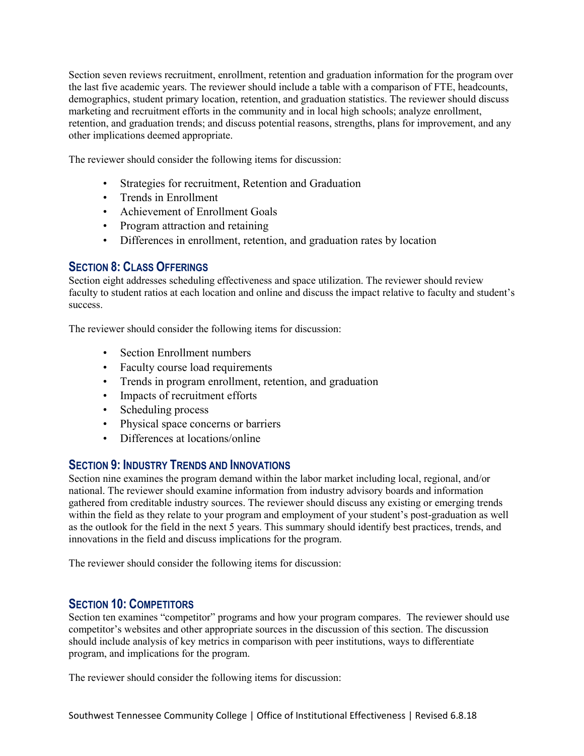Section seven reviews recruitment, enrollment, retention and graduation information for the program over the last five academic years. The reviewer should include a table with a comparison of FTE, headcounts, demographics, student primary location, retention, and graduation statistics. The reviewer should discuss marketing and recruitment efforts in the community and in local high schools; analyze enrollment, retention, and graduation trends; and discuss potential reasons, strengths, plans for improvement, and any other implications deemed appropriate.

The reviewer should consider the following items for discussion:

- Strategies for recruitment, Retention and Graduation
- Trends in Enrollment
- Achievement of Enrollment Goals
- Program attraction and retaining
- Differences in enrollment, retention, and graduation rates by location

## **SECTION 8: CLASS OFFERINGS**

Section eight addresses scheduling effectiveness and space utilization. The reviewer should review faculty to student ratios at each location and online and discuss the impact relative to faculty and student's success.

The reviewer should consider the following items for discussion:

- Section Enrollment numbers
- Faculty course load requirements
- Trends in program enrollment, retention, and graduation
- Impacts of recruitment efforts
- Scheduling process
- Physical space concerns or barriers
- Differences at locations/online

### **SECTION 9: INDUSTRY TRENDS AND INNOVATIONS**

Section nine examines the program demand within the labor market including local, regional, and/or national. The reviewer should examine information from industry advisory boards and information gathered from creditable industry sources. The reviewer should discuss any existing or emerging trends within the field as they relate to your program and employment of your student's post-graduation as well as the outlook for the field in the next 5 years. This summary should identify best practices, trends, and innovations in the field and discuss implications for the program.

The reviewer should consider the following items for discussion:

### **SECTION 10: COMPETITORS**

Section ten examines "competitor" programs and how your program compares. The reviewer should use competitor's websites and other appropriate sources in the discussion of this section. The discussion should include analysis of key metrics in comparison with peer institutions, ways to differentiate program, and implications for the program.

The reviewer should consider the following items for discussion: